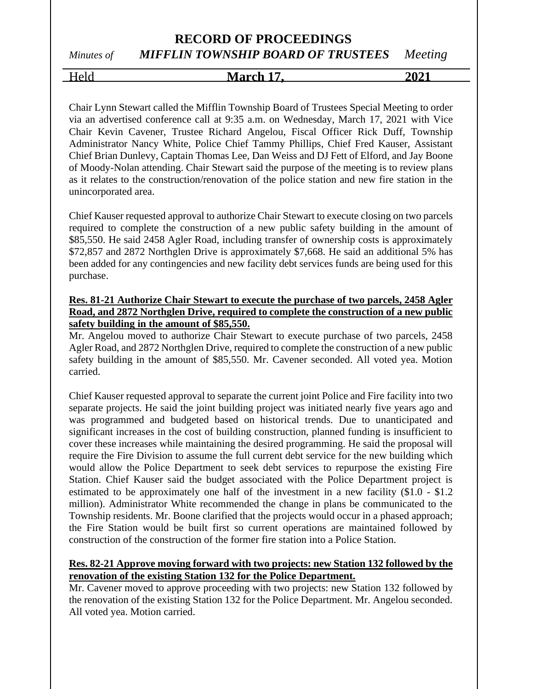## **RECORD OF PROCEEDINGS** *Minutes of MIFFLIN TOWNSHIP BOARD OF TRUSTEES Meeting*

Held **March 17, 2021**

Chair Lynn Stewart called the Mifflin Township Board of Trustees Special Meeting to order via an advertised conference call at 9:35 a.m. on Wednesday, March 17, 2021 with Vice Chair Kevin Cavener, Trustee Richard Angelou, Fiscal Officer Rick Duff, Township Administrator Nancy White, Police Chief Tammy Phillips, Chief Fred Kauser, Assistant Chief Brian Dunlevy, Captain Thomas Lee, Dan Weiss and DJ Fett of Elford, and Jay Boone of Moody-Nolan attending. Chair Stewart said the purpose of the meeting is to review plans as it relates to the construction/renovation of the police station and new fire station in the unincorporated area.

Chief Kauser requested approval to authorize Chair Stewart to execute closing on two parcels required to complete the construction of a new public safety building in the amount of \$85,550. He said 2458 Agler Road, including transfer of ownership costs is approximately \$72,857 and 2872 Northglen Drive is approximately \$7,668. He said an additional 5% has been added for any contingencies and new facility debt services funds are being used for this purchase.

### **Res. 81-21 Authorize Chair Stewart to execute the purchase of two parcels, 2458 Agler Road, and 2872 Northglen Drive, required to complete the construction of a new public safety building in the amount of \$85,550.**

Mr. Angelou moved to authorize Chair Stewart to execute purchase of two parcels, 2458 Agler Road, and 2872 Northglen Drive, required to complete the construction of a new public safety building in the amount of \$85,550. Mr. Cavener seconded. All voted yea. Motion carried.

Chief Kauser requested approval to separate the current joint Police and Fire facility into two separate projects. He said the joint building project was initiated nearly five years ago and was programmed and budgeted based on historical trends. Due to unanticipated and significant increases in the cost of building construction, planned funding is insufficient to cover these increases while maintaining the desired programming. He said the proposal will require the Fire Division to assume the full current debt service for the new building which would allow the Police Department to seek debt services to repurpose the existing Fire Station. Chief Kauser said the budget associated with the Police Department project is estimated to be approximately one half of the investment in a new facility (\$1.0 - \$1.2 million). Administrator White recommended the change in plans be communicated to the Township residents. Mr. Boone clarified that the projects would occur in a phased approach; the Fire Station would be built first so current operations are maintained followed by construction of the construction of the former fire station into a Police Station.

### **Res. 82-21 Approve moving forward with two projects: new Station 132 followed by the renovation of the existing Station 132 for the Police Department.**

Mr. Cavener moved to approve proceeding with two projects: new Station 132 followed by the renovation of the existing Station 132 for the Police Department. Mr. Angelou seconded. All voted yea. Motion carried.